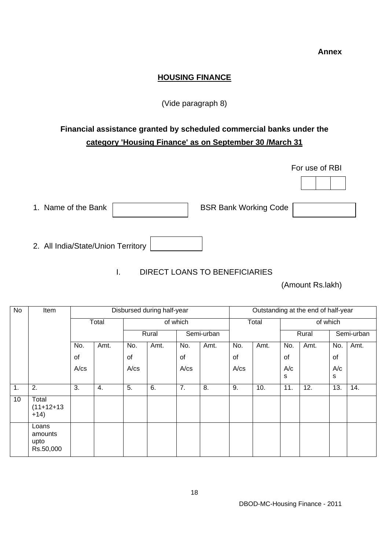#### **HOUSING FINANCE**

#### (Vide paragraph 8)

## **Financial assistance granted by scheduled commercial banks under the category 'Housing Finance' as on September 30 /March 31**

|                                    | For use of RBI               |
|------------------------------------|------------------------------|
|                                    |                              |
| 1. Name of the Bank                | <b>BSR Bank Working Code</b> |
| 2. All India/State/Union Territory |                              |

### I. DIRECT LOANS TO BENEFICIARIES

(Amount Rs.lakh)

| No | Item                                  | Disbursed during half-year |       |          |      |            |      | Outstanding at the end of half-year |      |          |      |            |      |
|----|---------------------------------------|----------------------------|-------|----------|------|------------|------|-------------------------------------|------|----------|------|------------|------|
|    |                                       |                            | Total | of which |      |            |      | Total                               |      | of which |      |            |      |
|    |                                       |                            |       | Rural    |      | Semi-urban |      |                                     |      | Rural    |      | Semi-urban |      |
|    |                                       | No.                        | Amt.  | No.      | Amt. | No.        | Amt. | No.                                 | Amt. | No.      | Amt. | No.        | Amt. |
|    |                                       | of                         |       | of       |      | of         |      | of                                  |      | of       |      | of         |      |
|    |                                       | $A$ / $cs$                 |       | A/cs     |      | A/cs       |      | $A$ / $cs$                          |      | A/c      |      | A/c        |      |
|    |                                       |                            |       |          |      |            |      |                                     |      | s        |      | s          |      |
| 1. | 2.                                    | 3.                         | 4.    | 5.       | 6.   | 7.         | 8.   | 9.                                  | 10.  | 11.      | 12.  | 13.        | 14.  |
| 10 | Total<br>$(11+12+13)$<br>$+14)$       |                            |       |          |      |            |      |                                     |      |          |      |            |      |
|    | Loans<br>amounts<br>upto<br>Rs.50,000 |                            |       |          |      |            |      |                                     |      |          |      |            |      |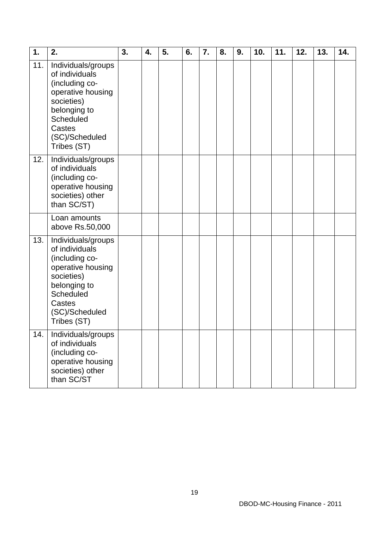| 1.  | 2.                                                                                                                                                                | 3. | 4. | 5. | 6. | 7. | 8. | 9. | 10. | 11. | 12. | 13. | 14. |
|-----|-------------------------------------------------------------------------------------------------------------------------------------------------------------------|----|----|----|----|----|----|----|-----|-----|-----|-----|-----|
| 11. | Individuals/groups<br>of individuals<br>(including co-<br>operative housing<br>societies)<br>belonging to<br>Scheduled<br>Castes<br>(SC)/Scheduled<br>Tribes (ST) |    |    |    |    |    |    |    |     |     |     |     |     |
| 12. | Individuals/groups<br>of individuals<br>(including co-<br>operative housing<br>societies) other<br>than SC/ST)                                                    |    |    |    |    |    |    |    |     |     |     |     |     |
|     | Loan amounts<br>above Rs.50,000                                                                                                                                   |    |    |    |    |    |    |    |     |     |     |     |     |
| 13. | Individuals/groups<br>of individuals<br>(including co-<br>operative housing<br>societies)<br>belonging to<br>Scheduled<br>Castes<br>(SC)/Scheduled<br>Tribes (ST) |    |    |    |    |    |    |    |     |     |     |     |     |
| 14. | Individuals/groups<br>of individuals<br>(including co-<br>operative housing<br>societies) other<br>than SC/ST                                                     |    |    |    |    |    |    |    |     |     |     |     |     |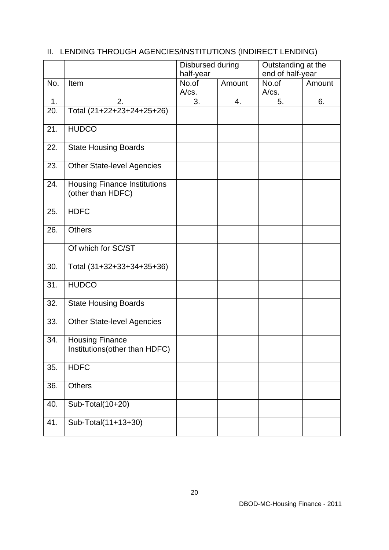|     |                                                          | Disbursed during<br>half-year |        | Outstanding at the<br>end of half-year |        |  |
|-----|----------------------------------------------------------|-------------------------------|--------|----------------------------------------|--------|--|
| No. | Item                                                     | No.of<br>A/cs.                | Amount | No.of<br>A/cs.                         | Amount |  |
| 1.  | 2.                                                       | 3.                            | 4.     | 5.                                     | 6.     |  |
| 20. | Total (21+22+23+24+25+26)                                |                               |        |                                        |        |  |
| 21. | <b>HUDCO</b>                                             |                               |        |                                        |        |  |
| 22. | <b>State Housing Boards</b>                              |                               |        |                                        |        |  |
| 23. | <b>Other State-level Agencies</b>                        |                               |        |                                        |        |  |
| 24. | <b>Housing Finance Institutions</b><br>(other than HDFC) |                               |        |                                        |        |  |
| 25. | <b>HDFC</b>                                              |                               |        |                                        |        |  |
| 26. | <b>Others</b>                                            |                               |        |                                        |        |  |
|     | Of which for SC/ST                                       |                               |        |                                        |        |  |
| 30. | Total (31+32+33+34+35+36)                                |                               |        |                                        |        |  |
| 31. | <b>HUDCO</b>                                             |                               |        |                                        |        |  |
| 32. | <b>State Housing Boards</b>                              |                               |        |                                        |        |  |
| 33. | <b>Other State-level Agencies</b>                        |                               |        |                                        |        |  |
| 34. | <b>Housing Finance</b><br>Institutions (other than HDFC) |                               |        |                                        |        |  |
| 35. | <b>HDFC</b>                                              |                               |        |                                        |        |  |
| 36. | <b>Others</b>                                            |                               |        |                                        |        |  |
| 40. | Sub-Total(10+20)                                         |                               |        |                                        |        |  |
| 41. | Sub-Total(11+13+30)                                      |                               |        |                                        |        |  |

# II. LENDING THROUGH AGENCIES/INSTITUTIONS (INDIRECT LENDING)